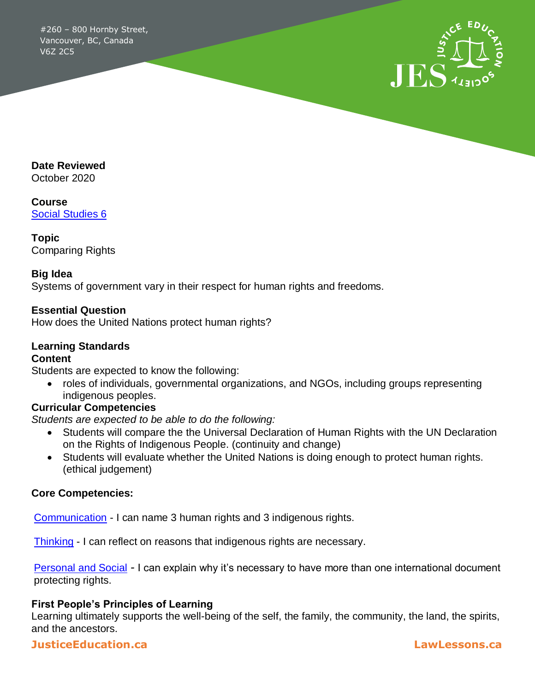#260 – 800 Hornby Street, Vancouver, BC, Canada V6Z 2C5



**Date Reviewed**

October 2020

**Course** [Social Studies 6](https://curriculum.gov.bc.ca/curriculum/social-studies/6)

**Topic** Comparing Rights

#### **Big Idea**

Systems of government vary in their respect for human rights and freedoms.

### **Essential Question**

How does the United Nations protect human rights?

# **Learning Standards**

#### **Content**

Students are expected to know the following:

 roles of individuals, governmental organizations, and NGOs, including groups representing indigenous peoples.

#### **Curricular Competencies**

*Students are expected to be able to do the following:*

- Students will compare the the Universal Declaration of Human Rights with the UN Declaration on the Rights of Indigenous People. (continuity and change)
- Students will evaluate whether the United Nations is doing enough to protect human rights. (ethical judgement)

#### **Core Competencies:**

[Communication](https://curriculum.gov.bc.ca/competencies/communication) - I can name 3 human rights and 3 indigenous rights.

[Thinking](https://curriculum.gov.bc.ca/competencies/thinking) - I can reflect on reasons that indigenous rights are necessary.

[Personal and Social](https://curriculum.gov.bc.ca/competencies/personal-and-social) *-* I can explain why it's necessary to have more than one international document protecting rights.

#### **First People's Principles of Learning**

Learning ultimately supports the well-being of the self, the family, the community, the land, the spirits, and the ancestors.

### **JusticeEducation.ca LawLessons.ca**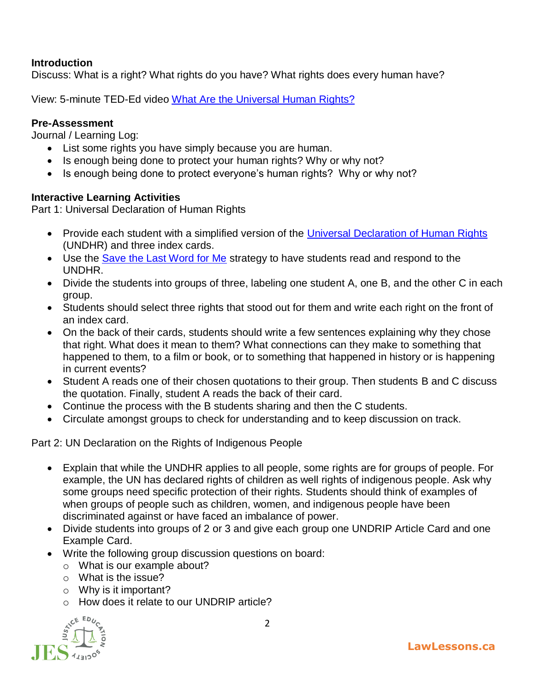# **Introduction**

Discuss: What is a right? What rights do you have? What rights does every human have?

View: 5-minute TED-Ed video [What Are the Universal Human Rights?](https://ed.ted.com/lessons/what-are-the-universal-human-rights-benedetta-berti#watch)

### **Pre-Assessment**

Journal / Learning Log:

- List some rights you have simply because you are human.
- Is enough being done to protect your human rights? Why or why not?
- Is enough being done to protect everyone's human rights? Why or why not?

#### **Interactive Learning Activities**

Part 1: Universal Declaration of Human Rights

- Provide each student with a simplified version of the [Universal Declaration of Human Rights](https://www.facinghistory.org/resource-library/image/udhr-infographic) (UNDHR) and three index cards.
- Use the [Save the Last Word for Me](https://www.facinghistory.org/resource-library/teaching-strategies/save-last-word-me) strategy to have students read and respond to the UNDHR.
- Divide the students into groups of three, labeling one student A, one B, and the other C in each group.
- Students should select three rights that stood out for them and write each right on the front of an index card.
- On the back of their cards, students should write a few sentences explaining why they chose that right. What does it mean to them? What connections can they make to something that happened to them, to a film or book, or to something that happened in history or is happening in current events?
- Student A reads one of their chosen quotations to their group. Then students B and C discuss the quotation. Finally, student A reads the back of their card.
- Continue the process with the B students sharing and then the C students.
- Circulate amongst groups to check for understanding and to keep discussion on track.

Part 2: UN Declaration on the Rights of Indigenous People

- Explain that while the UNDHR applies to all people, some rights are for groups of people. For example, the UN has declared rights of children as well rights of indigenous people. Ask why some groups need specific protection of their rights. Students should think of examples of when groups of people such as children, women, and indigenous people have been discriminated against or have faced an imbalance of power.
- Divide students into groups of 2 or 3 and give each group one UNDRIP Article Card and one Example Card.
- Write the following group discussion questions on board:
	- o What is our example about?
	- $\circ$  What is the issue?
	- $\circ$  Why is it important?
	- o How does it relate to our UNDRIP article?

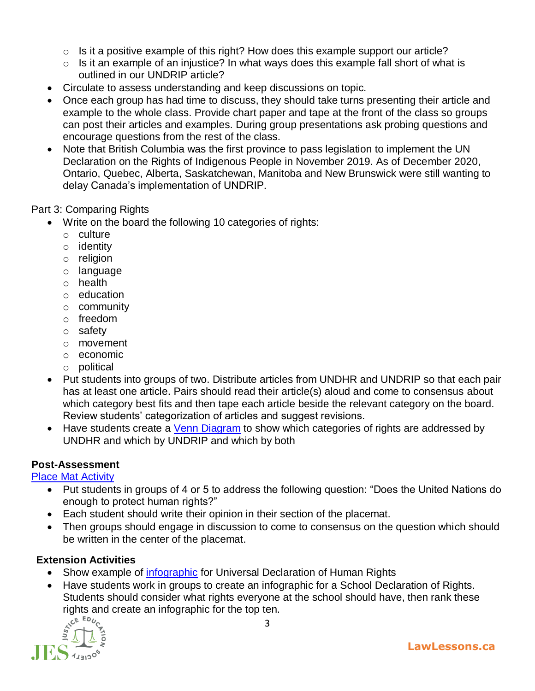- $\circ$  Is it a positive example of this right? How does this example support our article?
- $\circ$  Is it an example of an injustice? In what ways does this example fall short of what is outlined in our UNDRIP article?
- Circulate to assess understanding and keep discussions on topic.
- Once each group has had time to discuss, they should take turns presenting their article and example to the whole class. Provide chart paper and tape at the front of the class so groups can post their articles and examples. During group presentations ask probing questions and encourage questions from the rest of the class.
- Note that British Columbia was the first province to pass legislation to implement the UN Declaration on the Rights of Indigenous People in November 2019. As of December 2020, Ontario, Quebec, Alberta, Saskatchewan, Manitoba and New Brunswick were still wanting to delay Canada's implementation of UNDRIP.

Part 3: Comparing Rights

- Write on the board the following 10 categories of rights:
	- o culture
	- o identity
	- o religion
	- o language
	- o health
	- o education
	- o community
	- o freedom
	- o safety
	- o movement
	- o economic
	- o political
- Put students into groups of two. Distribute articles from UNDHR and UNDRIP so that each pair has at least one article. Pairs should read their article(s) aloud and come to consensus about which category best fits and then tape each article beside the relevant category on the board. Review students' categorization of articles and suggest revisions.
- Have students create a [Venn Diagram](https://www.pdffiller.com/jsfiller-desk13/?projectId=366437963&expId=5990&expBranch=1#9643789e6e200bdecbe64eee1e74c651) to show which categories of rights are addressed by UNDHR and which by UNDRIP and which by both

# **Post-Assessment**

#### [Place Mat Activity](http://www.learnalberta.ca/content/sssm/html/placematactivity_sm.html#:~:text=The%20Placemat%20Activity%20strategy%20provides,researched%20information%20or%20analyze%20documents.)

- Put students in groups of 4 or 5 to address the following question: "Does the United Nations do enough to protect human rights?"
- Each student should write their opinion in their section of the placemat.
- Then groups should engage in discussion to come to consensus on the question which should be written in the center of the placemat.

# **Extension Activities**

- Show example of [infographic](https://www.liberties.eu/en/infographics/universal-declaration-of-human-rights/2) for Universal Declaration of Human Rights
- Have students work in groups to create an infographic for a School Declaration of Rights. Students should consider what rights everyone at the school should have, then rank these rights and create an infographic for the top ten.<br>  $A^{\text{CEED}_{U_{C}}}_{\text{KL}}$

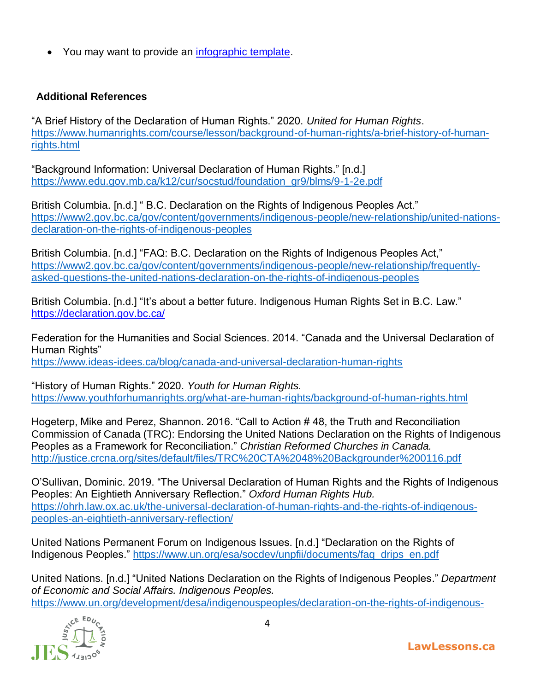• You may want to provide an *infographic template*.

# **Additional References**

"A Brief History of the Declaration of Human Rights." 2020. *United for Human Rights*. [https://www.humanrights.com/course/lesson/background-of-human-rights/a-brief-history-of-human](https://www.humanrights.com/course/lesson/background-of-human-rights/a-brief-history-of-human-rights.html)[rights.html](https://www.humanrights.com/course/lesson/background-of-human-rights/a-brief-history-of-human-rights.html)

"Background Information: Universal Declaration of Human Rights." [n.d.] [https://www.edu.gov.mb.ca/k12/cur/socstud/foundation\\_gr9/blms/9-1-2e.pdf](https://www.edu.gov.mb.ca/k12/cur/socstud/foundation_gr9/blms/9-1-2e.pdf;)

British Columbia. [n.d.] " B.C. Declaration on the Rights of Indigenous Peoples Act." [https://www2.gov.bc.ca/gov/content/governments/indigenous-people/new-relationship/united-nations](https://www2.gov.bc.ca/gov/content/governments/indigenous-people/new-relationship/united-nations-declaration-on-the-rights-of-indigenous-peoples)[declaration-on-the-rights-of-indigenous-peoples](https://www2.gov.bc.ca/gov/content/governments/indigenous-people/new-relationship/united-nations-declaration-on-the-rights-of-indigenous-peoples)

British Columbia. [n.d.] "FAQ: B.C. Declaration on the Rights of Indigenous Peoples Act," [https://www2.gov.bc.ca/gov/content/governments/indigenous-people/new-relationship/frequently](https://www2.gov.bc.ca/gov/content/governments/indigenous-people/new-relationship/frequently-asked-questions-the-united-nations-declaration-on-the-rights-of-indigenous-peoples)[asked-questions-the-united-nations-declaration-on-the-rights-of-indigenous-peoples](https://www2.gov.bc.ca/gov/content/governments/indigenous-people/new-relationship/frequently-asked-questions-the-united-nations-declaration-on-the-rights-of-indigenous-peoples)

British Columbia. [n.d.] "It's about a better future. Indigenous Human Rights Set in B.C. Law." <https://declaration.gov.bc.ca/>

Federation for the Humanities and Social Sciences. 2014. "Canada and the Universal Declaration of Human Rights" <https://www.ideas-idees.ca/blog/canada-and-universal-declaration-human-rights>

"History of Human Rights." 2020. *Youth for Human Rights.* [https://www.youthforhumanrights.org/what-are-human-rights/background-of-human-rights.html](https://www.youthforhumanrights.org/what-are-human-rights/background-of-human-rights.html;)

Hogeterp, Mike and Perez, Shannon. 2016. "Call to Action # 48, the Truth and Reconciliation Commission of Canada (TRC): Endorsing the United Nations Declaration on the Rights of Indigenous Peoples as a Framework for Reconciliation." *Christian Reformed Churches in Canada.*  [http://justice.crcna.org/sites/default/files/TRC%20CTA%2048%20Backgrounder%200116.pdf](http://justice.crcna.org/sites/default/files/TRC%20CTA%2048%20Backgrounder%200116.pdf;)

O'Sullivan, Dominic. 2019. "The Universal Declaration of Human Rights and the Rights of Indigenous Peoples: An Eightieth Anniversary Reflection." *Oxford Human Rights Hub.* [https://ohrh.law.ox.ac.uk/the-universal-declaration-of-human-rights-and-the-rights-of-indigenous](https://ohrh.law.ox.ac.uk/the-universal-declaration-of-human-rights-and-the-rights-of-indigenous-peoples-an-eightieth-anniversary-reflection/)[peoples-an-eightieth-anniversary-reflection/](https://ohrh.law.ox.ac.uk/the-universal-declaration-of-human-rights-and-the-rights-of-indigenous-peoples-an-eightieth-anniversary-reflection/)

United Nations Permanent Forum on Indigenous Issues. [n.d.] "Declaration on the Rights of Indigenous Peoples." [https://www.un.org/esa/socdev/unpfii/documents/faq\\_drips\\_en.pdf](https://www.un.org/esa/socdev/unpfii/documents/faq_drips_en.pdf)

United Nations. [n.d.] "United Nations Declaration on the Rights of Indigenous Peoples." *Department of Economic and Social Affairs. Indigenous Peoples.* [https://www.un.org/development/desa/indigenouspeoples/declaration-on-the-rights-of-indigenous-](https://www.un.org/development/desa/indigenouspeoples/declaration-on-the-rights-of-indigenous-peoples.html)



**LawLessons.ca**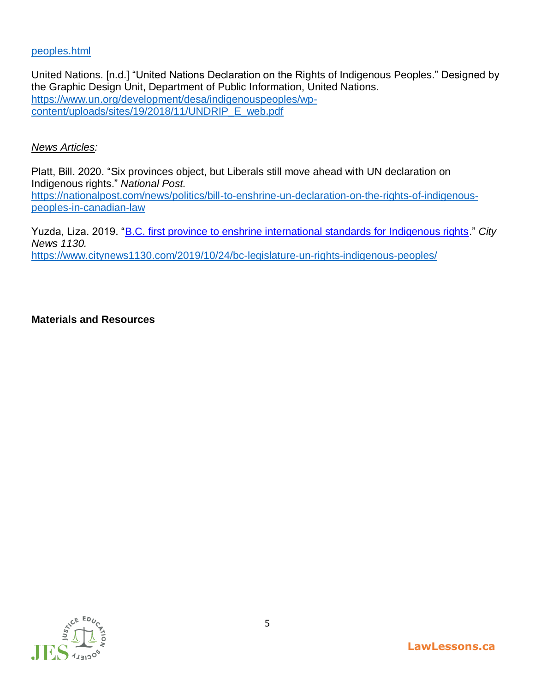#### [peoples.html](https://www.un.org/development/desa/indigenouspeoples/declaration-on-the-rights-of-indigenous-peoples.html)

United Nations. [n.d.] "United Nations Declaration on the Rights of Indigenous Peoples." Designed by the Graphic Design Unit, Department of Public Information, United Nations. [https://www.un.org/development/desa/indigenouspeoples/wp](https://www.un.org/development/desa/indigenouspeoples/wp-content/uploads/sites/19/2018/11/UNDRIP_E_web.pdf)[content/uploads/sites/19/2018/11/UNDRIP\\_E\\_web.pdf](https://www.un.org/development/desa/indigenouspeoples/wp-content/uploads/sites/19/2018/11/UNDRIP_E_web.pdf)

#### *News Articles:*

Platt, Bill. 2020. "Six provinces object, but Liberals still move ahead with UN declaration on Indigenous rights." *National Post.* [https://nationalpost.com/news/politics/bill-to-enshrine-un-declaration-on-the-rights-of-indigenous](https://nationalpost.com/news/politics/bill-to-enshrine-un-declaration-on-the-rights-of-indigenous-peoples-in-canadian-law)[peoples-in-canadian-law](https://nationalpost.com/news/politics/bill-to-enshrine-un-declaration-on-the-rights-of-indigenous-peoples-in-canadian-law)

Yuzda, Liza. 2019. ["B.C. first province to enshrine international standards for Indigenous rights.](https://www.citynews1130.com/2019/10/24/bc-legislature-un-rights-indigenous-peoples/)" *City News 1130.*  <https://www.citynews1130.com/2019/10/24/bc-legislature-un-rights-indigenous-peoples/>

#### **Materials and Resources**

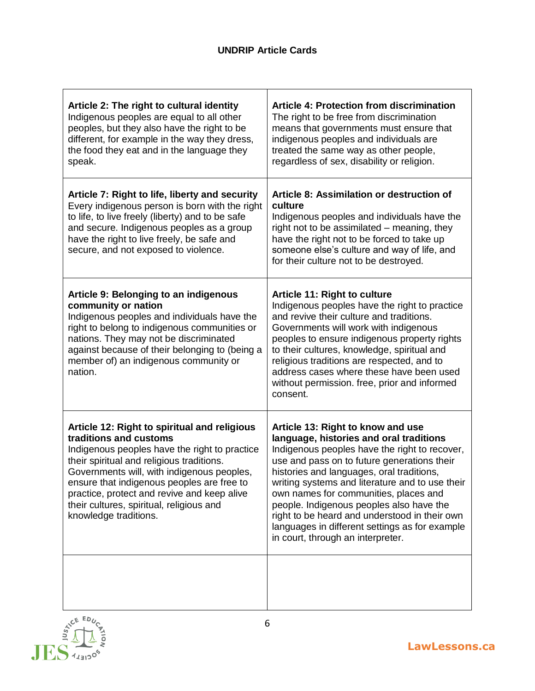| Article 2: The right to cultural identity<br>Indigenous peoples are equal to all other<br>peoples, but they also have the right to be<br>different, for example in the way they dress,<br>the food they eat and in the language they<br>speak.                                                                                                                                       | <b>Article 4: Protection from discrimination</b><br>The right to be free from discrimination<br>means that governments must ensure that<br>indigenous peoples and individuals are<br>treated the same way as other people,<br>regardless of sex, disability or religion.                                                                                                                                                                                                                                  |
|--------------------------------------------------------------------------------------------------------------------------------------------------------------------------------------------------------------------------------------------------------------------------------------------------------------------------------------------------------------------------------------|-----------------------------------------------------------------------------------------------------------------------------------------------------------------------------------------------------------------------------------------------------------------------------------------------------------------------------------------------------------------------------------------------------------------------------------------------------------------------------------------------------------|
| Article 7: Right to life, liberty and security<br>Every indigenous person is born with the right<br>to life, to live freely (liberty) and to be safe<br>and secure. Indigenous peoples as a group<br>have the right to live freely, be safe and<br>secure, and not exposed to violence.                                                                                              | Article 8: Assimilation or destruction of<br>culture<br>Indigenous peoples and individuals have the<br>right not to be assimilated - meaning, they<br>have the right not to be forced to take up<br>someone else's culture and way of life, and<br>for their culture not to be destroyed.                                                                                                                                                                                                                 |
| Article 9: Belonging to an indigenous<br>community or nation<br>Indigenous peoples and individuals have the<br>right to belong to indigenous communities or<br>nations. They may not be discriminated<br>against because of their belonging to (being a<br>member of) an indigenous community or<br>nation.                                                                          | Article 11: Right to culture<br>Indigenous peoples have the right to practice<br>and revive their culture and traditions.<br>Governments will work with indigenous<br>peoples to ensure indigenous property rights<br>to their cultures, knowledge, spiritual and<br>religious traditions are respected, and to<br>address cases where these have been used<br>without permission. free, prior and informed<br>consent.                                                                                   |
| Article 12: Right to spiritual and religious<br>traditions and customs<br>Indigenous peoples have the right to practice<br>their spiritual and religious traditions.<br>Governments will, with indigenous peoples,<br>ensure that indigenous peoples are free to<br>practice, protect and revive and keep alive<br>their cultures, spiritual, religious and<br>knowledge traditions. | Article 13: Right to know and use<br>language, histories and oral traditions<br>Indigenous peoples have the right to recover,<br>use and pass on to future generations their<br>histories and languages, oral traditions,<br>writing systems and literature and to use their<br>own names for communities, places and<br>people. Indigenous peoples also have the<br>right to be heard and understood in their own<br>languages in different settings as for example<br>in court, through an interpreter. |
| ED <sub>I</sub>                                                                                                                                                                                                                                                                                                                                                                      |                                                                                                                                                                                                                                                                                                                                                                                                                                                                                                           |



 $\mathbf{r}$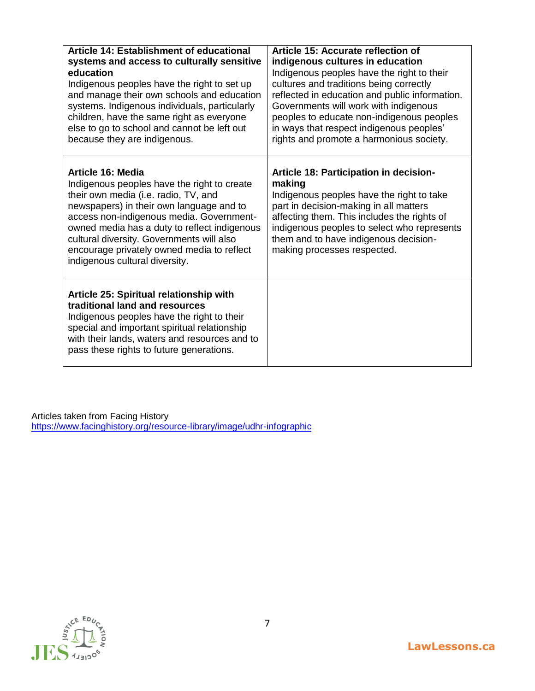| Article 14: Establishment of educational<br>systems and access to culturally sensitive<br>education<br>Indigenous peoples have the right to set up<br>and manage their own schools and education<br>systems. Indigenous individuals, particularly<br>children, have the same right as everyone<br>else to go to school and cannot be left out<br>because they are indigenous. | Article 15: Accurate reflection of<br>indigenous cultures in education<br>Indigenous peoples have the right to their<br>cultures and traditions being correctly<br>reflected in education and public information.<br>Governments will work with indigenous<br>peoples to educate non-indigenous peoples<br>in ways that respect indigenous peoples'<br>rights and promote a harmonious society. |
|-------------------------------------------------------------------------------------------------------------------------------------------------------------------------------------------------------------------------------------------------------------------------------------------------------------------------------------------------------------------------------|-------------------------------------------------------------------------------------------------------------------------------------------------------------------------------------------------------------------------------------------------------------------------------------------------------------------------------------------------------------------------------------------------|
| Article 16: Media<br>Indigenous peoples have the right to create<br>their own media (i.e. radio, TV, and<br>newspapers) in their own language and to<br>access non-indigenous media. Government-<br>owned media has a duty to reflect indigenous<br>cultural diversity. Governments will also<br>encourage privately owned media to reflect<br>indigenous cultural diversity. | Article 18: Participation in decision-<br>making<br>Indigenous peoples have the right to take<br>part in decision-making in all matters<br>affecting them. This includes the rights of<br>indigenous peoples to select who represents<br>them and to have indigenous decision-<br>making processes respected.                                                                                   |
| Article 25: Spiritual relationship with<br>traditional land and resources<br>Indigenous peoples have the right to their<br>special and important spiritual relationship<br>with their lands, waters and resources and to<br>pass these rights to future generations.                                                                                                          |                                                                                                                                                                                                                                                                                                                                                                                                 |

Articles taken from Facing History <https://www.facinghistory.org/resource-library/image/udhr-infographic>

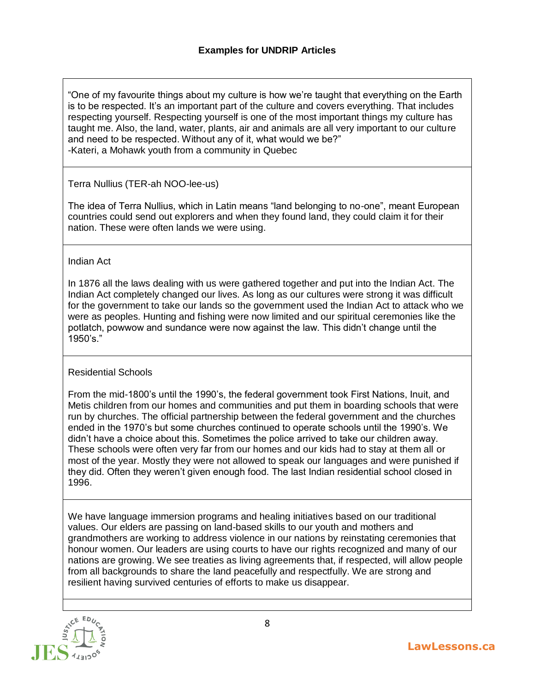"One of my favourite things about my culture is how we're taught that everything on the Earth is to be respected. It's an important part of the culture and covers everything. That includes respecting yourself. Respecting yourself is one of the most important things my culture has taught me. Also, the land, water, plants, air and animals are all very important to our culture and need to be respected. Without any of it, what would we be?" -Kateri, a Mohawk youth from a community in Quebec

Terra Nullius (TER-ah NOO-lee-us)

The idea of Terra Nullius, which in Latin means "land belonging to no-one", meant European countries could send out explorers and when they found land, they could claim it for their nation. These were often lands we were using.

Indian Act

In 1876 all the laws dealing with us were gathered together and put into the Indian Act. The Indian Act completely changed our lives. As long as our cultures were strong it was difficult for the government to take our lands so the government used the Indian Act to attack who we were as peoples. Hunting and fishing were now limited and our spiritual ceremonies like the potlatch, powwow and sundance were now against the law. This didn't change until the 1950's."

#### Residential Schools

From the mid-1800's until the 1990's, the federal government took First Nations, Inuit, and Metis children from our homes and communities and put them in boarding schools that were run by churches. The official partnership between the federal government and the churches ended in the 1970's but some churches continued to operate schools until the 1990's. We didn't have a choice about this. Sometimes the police arrived to take our children away. These schools were often very far from our homes and our kids had to stay at them all or most of the year. Mostly they were not allowed to speak our languages and were punished if they did. Often they weren't given enough food. The last Indian residential school closed in 1996.

We have language immersion programs and healing initiatives based on our traditional values. Our elders are passing on land-based skills to our youth and mothers and grandmothers are working to address violence in our nations by reinstating ceremonies that honour women. Our leaders are using courts to have our rights recognized and many of our nations are growing. We see treaties as living agreements that, if respected, will allow people from all backgrounds to share the land peacefully and respectfully. We are strong and resilient having survived centuries of efforts to make us disappear.